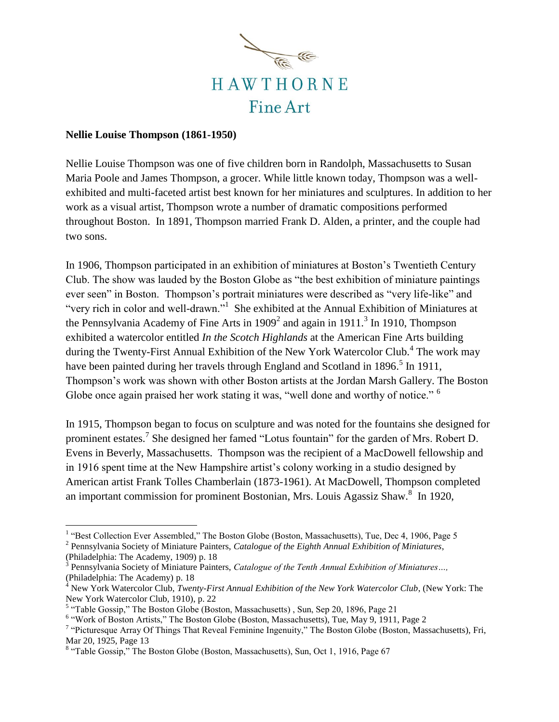

## **Nellie Louise Thompson (1861-1950)**

 $\overline{a}$ 

Nellie Louise Thompson was one of five children born in Randolph, Massachusetts to Susan Maria Poole and James Thompson, a grocer. While little known today, Thompson was a wellexhibited and multi-faceted artist best known for her miniatures and sculptures. In addition to her work as a visual artist, Thompson wrote a number of dramatic compositions performed throughout Boston. In 1891, Thompson married Frank D. Alden, a printer, and the couple had two sons.

In 1906, Thompson participated in an exhibition of miniatures at Boston's Twentieth Century Club. The show was lauded by the Boston Globe as "the best exhibition of miniature paintings ever seen" in Boston. Thompson's portrait miniatures were described as "very life-like" and "very rich in color and well-drawn."<sup>1</sup> She exhibited at the Annual Exhibition of Miniatures at the Pennsylvania Academy of Fine Arts in  $1909<sup>2</sup>$  and again in  $1911<sup>3</sup>$  In 1910, Thompson exhibited a watercolor entitled *In the Scotch Highlands* at the American Fine Arts building during the Twenty-First Annual Exhibition of the New York Watercolor Club.<sup>4</sup> The work may have been painted during her travels through England and Scotland in 1896.<sup>5</sup> In 1911, Thompson's work was shown with other Boston artists at the Jordan Marsh Gallery. The Boston Globe once again praised her work stating it was, "well done and worthy of notice." <sup>6</sup>

In 1915, Thompson began to focus on sculpture and was noted for the fountains she designed for prominent estates.<sup>7</sup> She designed her famed "Lotus fountain" for the garden of Mrs. Robert D. Evens in Beverly, Massachusetts. Thompson was the recipient of a MacDowell fellowship and in 1916 spent time at the New Hampshire artist's colony working in a studio designed by American artist Frank Tolles Chamberlain (1873-1961). At MacDowell, Thompson completed an important commission for prominent Bostonian, Mrs. Louis Agassiz Shaw.<sup>8</sup> In 1920,

<sup>&</sup>lt;sup>1</sup> "Best Collection Ever Assembled," The Boston Globe (Boston, Massachusetts), Tue, Dec 4, 1906, Page 5

<sup>2</sup> Pennsylvania Society of Miniature Painters, *Catalogue of the Eighth Annual Exhibition of Miniatures*, (Philadelphia: The Academy, 1909) p. 18

<sup>3</sup> Pennsylvania Society of Miniature Painters, *Catalogue of the Tenth Annual Exhibition of Miniatures…,* (Philadelphia: The Academy) p. 18

<sup>4</sup> New York Watercolor Club, *Twenty-First Annual Exhibition of the New York Watercolor Club*, (New York: The New York Watercolor Club, 1910), p. 22

<sup>&</sup>lt;sup>5</sup> "Table Gossip," The Boston Globe (Boston, Massachusetts), Sun, Sep 20, 1896, Page 21

<sup>&</sup>lt;sup>6</sup> "Work of Boston Artists," The Boston Globe (Boston, Massachusetts), Tue, May 9, 1911, Page 2

<sup>&</sup>lt;sup>7</sup> "Picturesque Array Of Things That Reveal Feminine Ingenuity," The Boston Globe (Boston, Massachusetts), Fri, Mar 20, 1925, Page 13

<sup>&</sup>lt;sup>8</sup> "Table Gossip," The Boston Globe (Boston, Massachusetts), Sun, Oct 1, 1916, Page 67